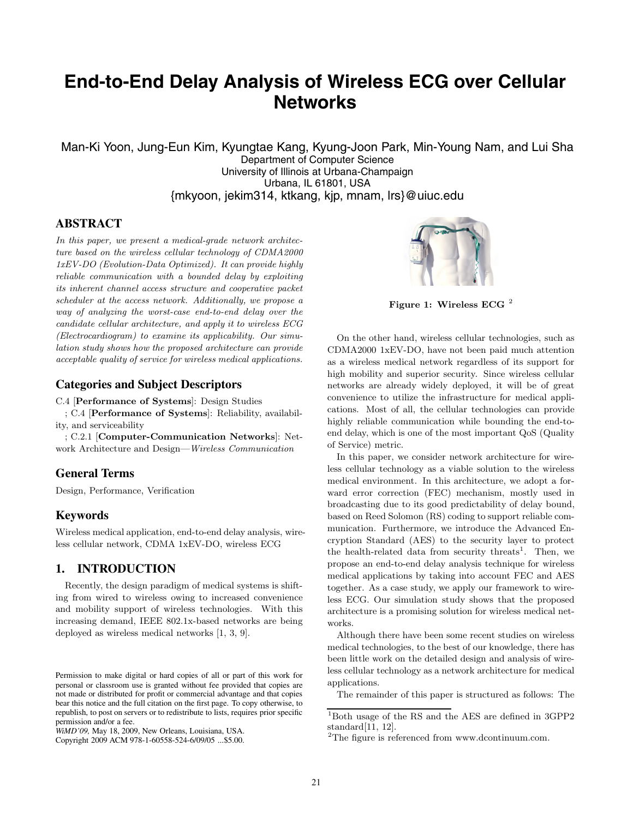# **End-to-End Delay Analysis of Wireless ECG over Cellular Networks**

Man-Ki Yoon, Jung-Eun Kim, Kyungtae Kang, Kyung-Joon Park, Min-Young Nam, and Lui Sha Department of Computer Science University of Illinois at Urbana-Champaign Urbana, IL 61801, USA {mkyoon, jekim314, ktkang, kjp, mnam, lrs}@uiuc.edu

## **ABSTRACT**

*In this paper, we present a medical-grade network architecture based on the wireless cellular technology of CDMA2000 1xEV-DO (Evolution-Data Optimized). It can provide highly reliable communication with a bounded delay by exploiting its inherent channel access structure and cooperative packet scheduler at the access network. Additionally, we propose a way of analyzing the worst-case end-to-end delay over the candidate cellular architecture, and apply it to wireless ECG (Electrocardiogram) to examine its applicability. Our simulation study shows how the proposed architecture can provide acceptable quality of service for wireless medical applications.*

#### **Categories and Subject Descriptors**

C.4 [**Performance of Systems**]: Design Studies

; C.4 [**Performance of Systems**]: Reliability, availability, and serviceability

; C.2.1 [**Computer-Communication Networks**]: Network Architecture and Design—*Wireless Communication*

## **General Terms**

Design, Performance, Verification

#### **Keywords**

Wireless medical application, end-to-end delay analysis, wireless cellular network, CDMA 1xEV-DO, wireless ECG

# **1. INTRODUCTION**

Recently, the design paradigm of medical systems is shifting from wired to wireless owing to increased convenience and mobility support of wireless technologies. With this increasing demand, IEEE 802.1x-based networks are being deployed as wireless medical networks [1, 3, 9].



**Figure 1: Wireless ECG** <sup>2</sup>

On the other hand, wireless cellular technologies, such as CDMA2000 1xEV-DO, have not been paid much attention as a wireless medical network regardless of its support for high mobility and superior security. Since wireless cellular networks are already widely deployed, it will be of great convenience to utilize the infrastructure for medical applications. Most of all, the cellular technologies can provide highly reliable communication while bounding the end-toend delay, which is one of the most important QoS (Quality of Service) metric.

In this paper, we consider network architecture for wireless cellular technology as a viable solution to the wireless medical environment. In this architecture, we adopt a forward error correction (FEC) mechanism, mostly used in broadcasting due to its good predictability of delay bound, based on Reed Solomon (RS) coding to support reliable communication. Furthermore, we introduce the Advanced Encryption Standard (AES) to the security layer to protect the health-related data from security threats<sup>1</sup>. Then, we propose an end-to-end delay analysis technique for wireless medical applications by taking into account FEC and AES together. As a case study, we apply our framework to wireless ECG. Our simulation study shows that the proposed architecture is a promising solution for wireless medical networks.

Although there have been some recent studies on wireless medical technologies, to the best of our knowledge, there has been little work on the detailed design and analysis of wireless cellular technology as a network architecture for medical applications.

The remainder of this paper is structured as follows: The

Permission to make digital or hard copies of all or part of this work for personal or classroom use is granted without fee provided that copies are not made or distributed for profit or commercial advantage and that copies bear this notice and the full citation on the first page. To copy otherwise, to republish, to post on servers or to redistribute to lists, requires prior specific permission and/or a fee.

*WiMD'09,* May 18, 2009, New Orleans, Louisiana, USA.

Copyright 2009 ACM 978-1-60558-524-6/09/05 ...\$5.00.

 $^1\rm{Both}$  usage of the RS and the AES are defined in 3GPP2 standard[11, 12].

<sup>2</sup>The figure is referenced from www.dcontinuum.com.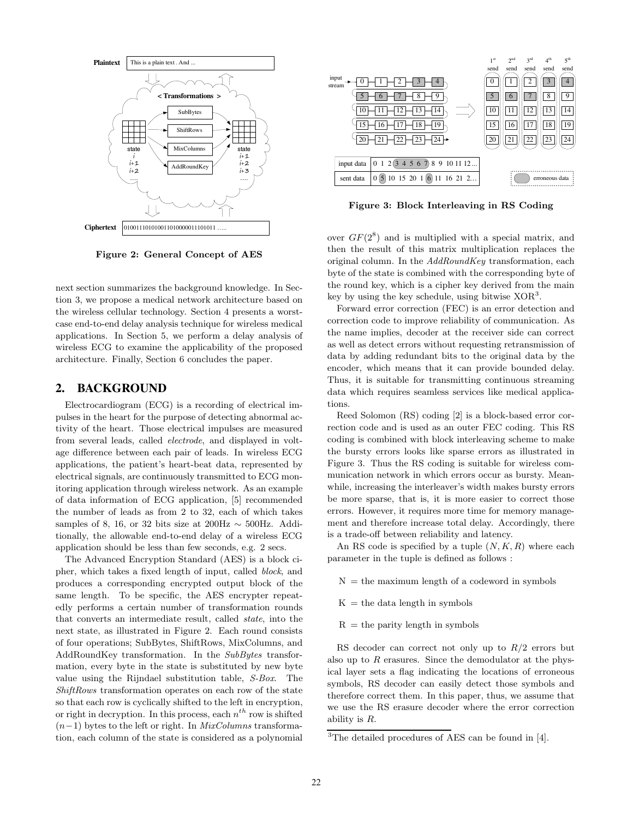

**Figure 2: General Concept of AES**

next section summarizes the background knowledge. In Section 3, we propose a medical network architecture based on the wireless cellular technology. Section 4 presents a worstcase end-to-end delay analysis technique for wireless medical applications. In Section 5, we perform a delay analysis of wireless ECG to examine the applicability of the proposed architecture. Finally, Section 6 concludes the paper.

## **2. BACKGROUND**

Electrocardiogram (ECG) is a recording of electrical impulses in the heart for the purpose of detecting abnormal activity of the heart. Those electrical impulses are measured from several leads, called *electrode*, and displayed in voltage difference between each pair of leads. In wireless ECG applications, the patient's heart-beat data, represented by electrical signals, are continuously transmitted to ECG monitoring application through wireless network. As an example of data information of ECG application, [5] recommended the number of leads as from 2 to 32, each of which takes samples of 8, 16, or 32 bits size at 200Hz  $\sim$  500Hz. Additionally, the allowable end-to-end delay of a wireless ECG application should be less than few seconds, e.g. 2 secs.

The Advanced Encryption Standard (AES) is a block cipher, which takes a fixed length of input, called *block*, and produces a corresponding encrypted output block of the same length. To be specific, the AES encrypter repeatedly performs a certain number of transformation rounds that converts an intermediate result, called *state*, into the next state, as illustrated in Figure 2. Each round consists of four operations; SubBytes, ShiftRows, MixColumns, and AddRoundKey transformation. In the *SubBytes* transformation, every byte in the state is substituted by new byte value using the Rijndael substitution table, *S-Box*. The *ShiftRows* transformation operates on each row of the state so that each row is cyclically shifted to the left in encryption, or right in decryption. In this process, each  $n^{th}$  row is shifted (*n*−1) bytes to the left or right. In *MixColumns* transformation, each column of the state is considered as a polynomial



**Figure 3: Block Interleaving in RS Coding**

over  $GF(2^8)$  and is multiplied with a special matrix, and then the result of this matrix multiplication replaces the original column. In the *AddRoundKey* transformation, each byte of the state is combined with the corresponding byte of the round key, which is a cipher key derived from the main key by using the key schedule, using bitwise  $XOR<sup>3</sup>$ .

Forward error correction (FEC) is an error detection and correction code to improve reliability of communication. As the name implies, decoder at the receiver side can correct as well as detect errors without requesting retransmission of data by adding redundant bits to the original data by the encoder, which means that it can provide bounded delay. Thus, it is suitable for transmitting continuous streaming data which requires seamless services like medical applications.

Reed Solomon (RS) coding [2] is a block-based error correction code and is used as an outer FEC coding. This RS coding is combined with block interleaving scheme to make the bursty errors looks like sparse errors as illustrated in Figure 3. Thus the RS coding is suitable for wireless communication network in which errors occur as bursty. Meanwhile, increasing the interleaver's width makes bursty errors be more sparse, that is, it is more easier to correct those errors. However, it requires more time for memory management and therefore increase total delay. Accordingly, there is a trade-off between reliability and latency.

An RS code is specified by a tuple (*N, K, R*) where each parameter in the tuple is defined as follows :

- $N =$  the maximum length of a codeword in symbols
- $K =$  the data length in symbols
- $R =$  the parity length in symbols

RS decoder can correct not only up to *R/*2 errors but also up to *R* erasures. Since the demodulator at the physical layer sets a flag indicating the locations of erroneous symbols, RS decoder can easily detect those symbols and therefore correct them. In this paper, thus, we assume that we use the RS erasure decoder where the error correction ability is *R*.

 $3$ The detailed procedures of AES can be found in [4].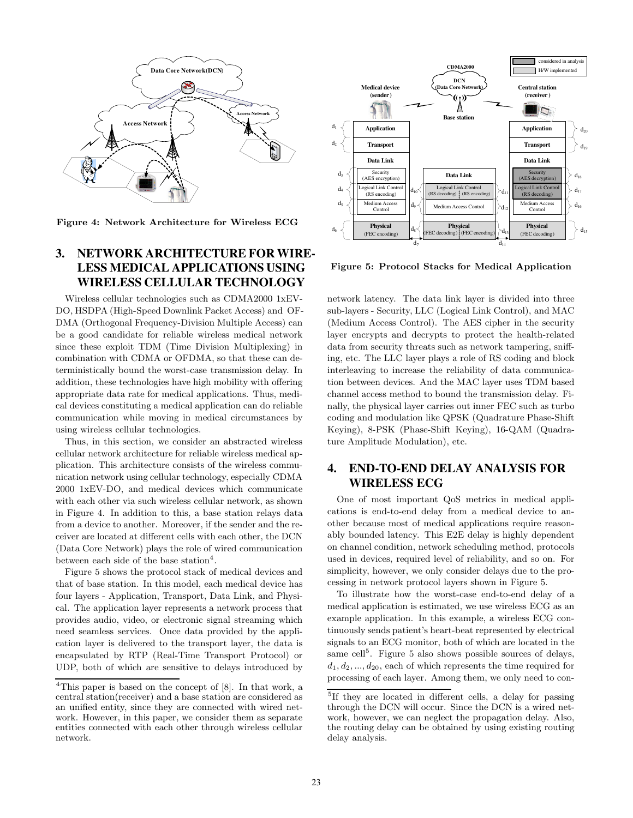

**Figure 4: Network Architecture for Wireless ECG**

# **3. NETWORK ARCHITECTURE FOR WIRE-LESS MEDICAL APPLICATIONS USING WIRELESS CELLULAR TECHNOLOGY**

Wireless cellular technologies such as CDMA2000 1xEV-DO, HSDPA (High-Speed Downlink Packet Access) and OF-DMA (Orthogonal Frequency-Division Multiple Access) can be a good candidate for reliable wireless medical network since these exploit TDM (Time Division Multiplexing) in combination with CDMA or OFDMA, so that these can deterministically bound the worst-case transmission delay. In addition, these technologies have high mobility with offering appropriate data rate for medical applications. Thus, medical devices constituting a medical application can do reliable communication while moving in medical circumstances by using wireless cellular technologies.

Thus, in this section, we consider an abstracted wireless cellular network architecture for reliable wireless medical application. This architecture consists of the wireless communication network using cellular technology, especially CDMA 2000 1xEV-DO, and medical devices which communicate with each other via such wireless cellular network, as shown in Figure 4. In addition to this, a base station relays data from a device to another. Moreover, if the sender and the receiver are located at different cells with each other, the DCN (Data Core Network) plays the role of wired communication between each side of the base station<sup>4</sup>.

Figure 5 shows the protocol stack of medical devices and that of base station. In this model, each medical device has four layers - Application, Transport, Data Link, and Physical. The application layer represents a network process that provides audio, video, or electronic signal streaming which need seamless services. Once data provided by the application layer is delivered to the transport layer, the data is encapsulated by RTP (Real-Time Transport Protocol) or UDP, both of which are sensitive to delays introduced by



**Figure 5: Protocol Stacks for Medical Application**

network latency. The data link layer is divided into three sub-layers - Security, LLC (Logical Link Control), and MAC (Medium Access Control). The AES cipher in the security layer encrypts and decrypts to protect the health-related data from security threats such as network tampering, sniffing, etc. The LLC layer plays a role of RS coding and block interleaving to increase the reliability of data communication between devices. And the MAC layer uses TDM based channel access method to bound the transmission delay. Finally, the physical layer carries out inner FEC such as turbo coding and modulation like QPSK (Quadrature Phase-Shift Keying), 8-PSK (Phase-Shift Keying), 16-QAM (Quadrature Amplitude Modulation), etc.

# **4. END-TO-END DELAY ANALYSIS FOR WIRELESS ECG**

One of most important QoS metrics in medical applications is end-to-end delay from a medical device to another because most of medical applications require reasonably bounded latency. This E2E delay is highly dependent on channel condition, network scheduling method, protocols used in devices, required level of reliability, and so on. For simplicity, however, we only consider delays due to the processing in network protocol layers shown in Figure 5.

To illustrate how the worst-case end-to-end delay of a medical application is estimated, we use wireless ECG as an example application. In this example, a wireless ECG continuously sends patient's heart-beat represented by electrical signals to an ECG monitor, both of which are located in the same cell<sup>5</sup>. Figure 5 also shows possible sources of delays,  $d_1, d_2, \ldots, d_{20}$ , each of which represents the time required for processing of each layer. Among them, we only need to con-

<sup>&</sup>lt;sup>4</sup>This paper is based on the concept of  $[8]$ . In that work, a central station(receiver) and a base station are considered as an unified entity, since they are connected with wired network. However, in this paper, we consider them as separate entities connected with each other through wireless cellular network.

<sup>5</sup>If they are located in different cells, a delay for passing through the DCN will occur. Since the DCN is a wired network, however, we can neglect the propagation delay. Also, the routing delay can be obtained by using existing routing delay analysis.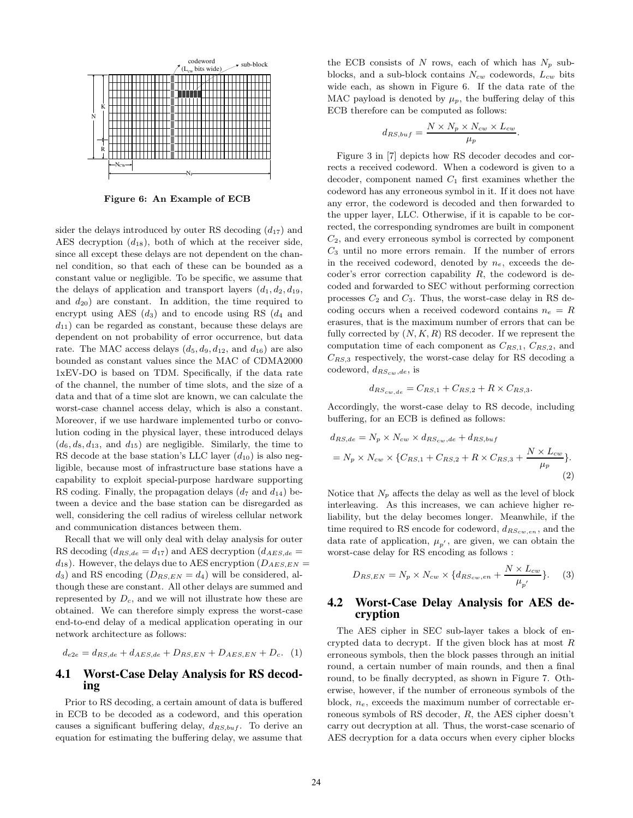

**Figure 6: An Example of ECB**

sider the delays introduced by outer RS decoding  $(d_{17})$  and AES decryption  $(d_{18})$ , both of which at the receiver side, since all except these delays are not dependent on the channel condition, so that each of these can be bounded as a constant value or negligible. To be specific, we assume that the delays of application and transport layers  $(d_1, d_2, d_{19})$ , and  $d_{20}$ ) are constant. In addition, the time required to encrypt using AES  $(d_3)$  and to encode using RS  $(d_4$  and  $d_{11}$ ) can be regarded as constant, because these delays are dependent on not probability of error occurrence, but data rate. The MAC access delays  $(d_5, d_9, d_{12}, \text{ and } d_{16})$  are also bounded as constant values since the MAC of CDMA2000 1xEV-DO is based on TDM. Specifically, if the data rate of the channel, the number of time slots, and the size of a data and that of a time slot are known, we can calculate the worst-case channel access delay, which is also a constant. Moreover, if we use hardware implemented turbo or convolution coding in the physical layer, these introduced delays  $(d_6, d_8, d_{13}, \text{ and } d_{15})$  are negligible. Similarly, the time to RS decode at the base station's LLC layer  $(d_{10})$  is also negligible, because most of infrastructure base stations have a capability to exploit special-purpose hardware supporting RS coding. Finally, the propagation delays  $(d_7 \text{ and } d_{14})$  between a device and the base station can be disregarded as well, considering the cell radius of wireless cellular network and communication distances between them.

Recall that we will only deal with delay analysis for outer RS decoding  $(d_{RS,de} = d_{17})$  and AES decryption  $(d_{AES,de} =$  $d_{18}$ ). However, the delays due to AES encryption ( $D_{AES, EN}$ )  $d_3$ ) and RS encoding  $(D_{RS,EN} = d_4)$  will be considered, although these are constant. All other delays are summed and represented by *Dc*, and we will not illustrate how these are obtained. We can therefore simply express the worst-case end-to-end delay of a medical application operating in our network architecture as follows:

$$
d_{e2e} = d_{RS,de} + d_{AES,de} + D_{RS,EN} + D_{AES,EN} + D_c.
$$
 (1)

## **4.1 Worst-Case Delay Analysis for RS decoding**

Prior to RS decoding, a certain amount of data is buffered in ECB to be decoded as a codeword, and this operation causes a significant buffering delay, *dRS,buf* . To derive an equation for estimating the buffering delay, we assume that

the ECB consists of *N* rows, each of which has  $N_p$  subblocks, and a sub-block contains *Ncw* codewords, *Lcw* bits wide each, as shown in Figure 6. If the data rate of the MAC payload is denoted by  $\mu_p$ , the buffering delay of this ECB therefore can be computed as follows:

$$
d_{RS,buf} = \frac{N \times N_p \times N_{cw} \times L_{cw}}{\mu_p}.
$$

Figure 3 in [7] depicts how RS decoder decodes and corrects a received codeword. When a codeword is given to a decoder, component named *C*<sup>1</sup> first examines whether the codeword has any erroneous symbol in it. If it does not have any error, the codeword is decoded and then forwarded to the upper layer, LLC. Otherwise, if it is capable to be corrected, the corresponding syndromes are built in component *C*2, and every erroneous symbol is corrected by component *C*<sup>3</sup> until no more errors remain. If the number of errors in the received codeword, denoted by *ne*, exceeds the decoder's error correction capability *R*, the codeword is decoded and forwarded to SEC without performing correction processes *C*<sup>2</sup> and *C*3. Thus, the worst-case delay in RS decoding occurs when a received codeword contains  $n_e = R$ erasures, that is the maximum number of errors that can be fully corrected by  $(N, K, R)$  RS decoder. If we represent the computation time of each component as *CRS,*1, *CRS,*2, and *CRS,*<sup>3</sup> respectively, the worst-case delay for RS decoding a codeword, *dRScw,de*, is

$$
d_{RS_{cw,de}} = C_{RS,1} + C_{RS,2} + R \times C_{RS,3}.
$$

Accordingly, the worst-case delay to RS decode, including buffering, for an ECB is defined as follows:

$$
d_{RS,de} = N_p \times N_{cw} \times d_{RS_{cw},de} + d_{RS,buf}
$$
  
=  $N_p \times N_{cw} \times \{C_{RS,1} + C_{RS,2} + R \times C_{RS,3} + \frac{N \times L_{cw}}{\mu_p}\}.$   
(2)

Notice that  $N_p$  affects the delay as well as the level of block interleaving. As this increases, we can achieve higher reliability, but the delay becomes longer. Meanwhile, if the time required to RS encode for codeword, *dRScw,en* , and the data rate of application,  $\mu_{p'}$ , are given, we can obtain the worst-case delay for RS encoding as follows :

$$
D_{RS,EN} = N_p \times N_{cw} \times \{d_{RS_{cw,en}} + \frac{N \times L_{cw}}{\mu_{p'}}\}.
$$
 (3)

# **4.2 Worst-Case Delay Analysis for AES decryption**

The AES cipher in SEC sub-layer takes a block of encrypted data to decrypt. If the given block has at most *R* erroneous symbols, then the block passes through an initial round, a certain number of main rounds, and then a final round, to be finally decrypted, as shown in Figure 7. Otherwise, however, if the number of erroneous symbols of the block, *ne*, exceeds the maximum number of correctable erroneous symbols of RS decoder, *R*, the AES cipher doesn't carry out decryption at all. Thus, the worst-case scenario of AES decryption for a data occurs when every cipher blocks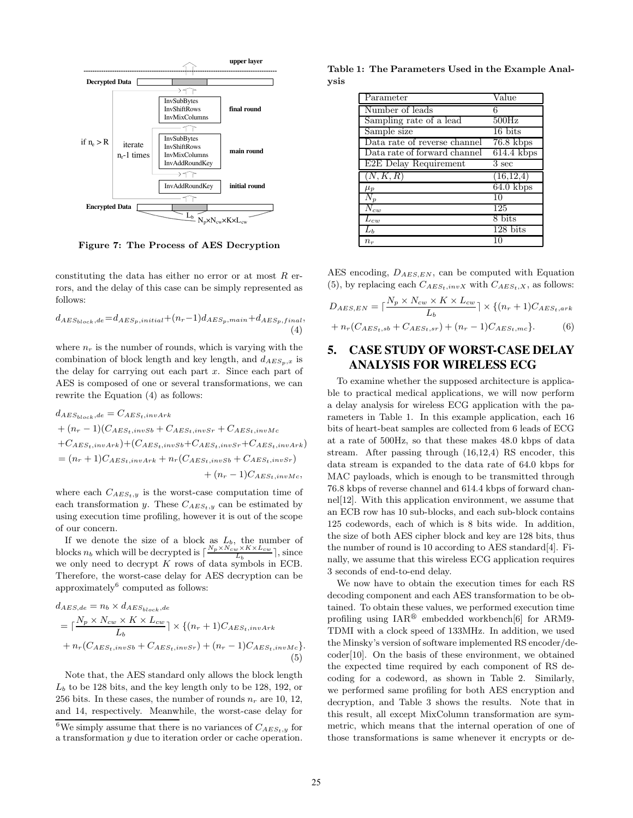

**Figure 7: The Process of AES Decryption**

constituting the data has either no error or at most *R* errors, and the delay of this case can be simply represented as follows:

$$
d_{AES_{block}, de} = d_{AES_p, initial} + (n_r - 1)d_{AES_p, main} + d_{AES_p, final},
$$
\n(4)

where  $n_r$  is the number of rounds, which is varying with the combination of block length and key length, and  $d_{AES_n,x}$  is the delay for carrying out each part *x*. Since each part of AES is composed of one or several transformations, we can rewrite the Equation (4) as follows:

$$
d_{AES_{block},de} = C_{AES_t,invArk}
$$
  
+  $(n_r - 1)(C_{AES_t,invSb} + C_{AES_t,invSr} + C_{AES_t,invMc$   
+  $C_{AES_t,invArk}$  +  $(C_{AES_t,invSb} + C_{AES_t,invSr} + C_{AES_t,invArk})$   
=  $(n_r + 1)C_{AES_t,invArk} + n_r(C_{AES_t,invSb} + C_{AES_t,invSr})$   
+  $(n_r - 1)C_{AES_t,invMc}$ ,

where each  $C_{AES_t,y}$  is the worst-case computation time of each transformation *y*. These  $C_{AES_t, y}$  can be estimated by using execution time profiling, however it is out of the scope of our concern.

If we denote the size of a block as  $L_b$ , the number of blocks  $n_b$  which will be decrypted is  $\left[\frac{N_p \times N_{cw}^{\prime} \times K \times L_{cw}}{L_b}\right]$ , since we only need to decrypt *K* rows of data symbols in ECB. Therefore, the worst-case delay for AES decryption can be approximately $6$  computed as follows:

$$
d_{AES,de} = n_b \times d_{AES_{block},de}
$$
  
=  $\lceil \frac{N_p \times N_{cw} \times K \times L_{cw}}{L_b} \rceil \times \{(n_r + 1)C_{AES_t,invArk} + n_r(C_{AES_t,invSb} + C_{AES_t,invSr}) + (n_r - 1)C_{AES_t,invMe}\}.$   
(5)

Note that, the AES standard only allows the block length  $L<sub>b</sub>$  to be 128 bits, and the key length only to be 128, 192, or 256 bits. In these cases, the number of rounds  $n_r$  are 10, 12, and 14, respectively. Meanwhile, the worst-case delay for

| Parameter                    | $\overline{\text{Value}}$ |
|------------------------------|---------------------------|
| Number of leads              | 6                         |
| Sampling rate of a lead      | $500\text{Hz}$            |
| Sample size                  | $16 \text{ bits}$         |
| Data rate of reverse channel | $76.8$ kbps               |
| Data rate of forward channel | $614.4$ kbps              |
| E2E Delay Requirement        | $3 \text{ sec}$           |
|                              |                           |
| (N, K, R)                    | (16, 12, 4)               |
| $\mu_p$                      | $64.0$ kbps               |
| $N_p$                        | 10                        |
| $\overline{N}_{cw}$          | 125                       |
| $L_{cw}$                     | 8 bits                    |
| $L_b$                        | $128 \text{ bits}$        |

AES encoding, *DAES,EN* , can be computed with Equation (5), by replacing each  $C_{AES_t, invX}$  with  $C_{AES_t, X}$ , as follows:

$$
D_{AES, EN} = \lceil \frac{N_p \times N_{cw} \times K \times L_{cw}}{L_b} \rceil \times \{(n_r + 1)C_{AES_t, ark} + n_r(C_{AES_t, sb} + C_{AES_t, sr}) + (n_r - 1)C_{AES_t, mc}\}.
$$
 (6)

# **5. CASE STUDY OF WORST-CASE DELAY ANALYSIS FOR WIRELESS ECG**

To examine whether the supposed architecture is applicable to practical medical applications, we will now perform a delay analysis for wireless ECG application with the parameters in Table 1. In this example application, each 16 bits of heart-beat samples are collected from 6 leads of ECG at a rate of 500Hz, so that these makes 48.0 kbps of data stream. After passing through (16,12,4) RS encoder, this data stream is expanded to the data rate of 64.0 kbps for MAC payloads, which is enough to be transmitted through 76.8 kbps of reverse channel and 614.4 kbps of forward channel[12]. With this application environment, we assume that an ECB row has 10 sub-blocks, and each sub-block contains 125 codewords, each of which is 8 bits wide. In addition, the size of both AES cipher block and key are 128 bits, thus the number of round is 10 according to AES standard[4]. Finally, we assume that this wireless ECG application requires 3 seconds of end-to-end delay.

We now have to obtain the execution times for each RS decoding component and each AES transformation to be obtained. To obtain these values, we performed execution time profiling using  $IAR^{\circledR}$  embedded workbench [6] for ARM9-TDMI with a clock speed of 133MHz. In addition, we used the Minsky's version of software implemented RS encoder/decoder[10]. On the basis of these environment, we obtained the expected time required by each component of RS decoding for a codeword, as shown in Table 2. Similarly, we performed same profiling for both AES encryption and decryption, and Table 3 shows the results. Note that in this result, all except MixColumn transformation are symmetric, which means that the internal operation of one of those transformations is same whenever it encrypts or de-

<sup>&</sup>lt;sup>6</sup>We simply assume that there is no variances of  $C_{AES_t,y}$  for a transformation *y* due to iteration order or cache operation.